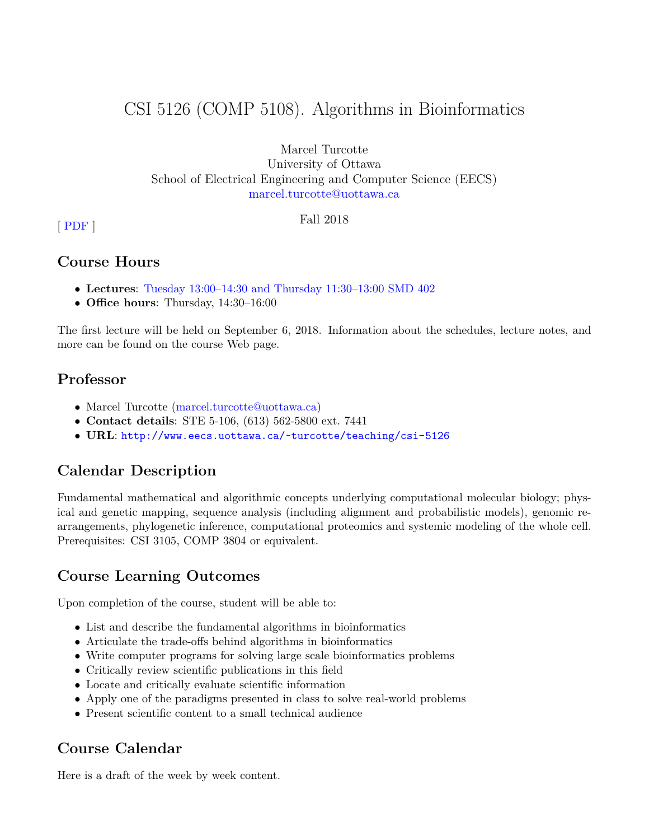# CSI 5126 (COMP 5108). Algorithms in Bioinformatics

Marcel Turcotte University of Ottawa School of Electrical Engineering and Computer Science (EECS) [marcel.turcotte@uottawa.ca](mailto:marcel.turcotte@uottawa.ca)

**Fall 2018** Fall 2018

# **Course Hours**

- **Lectures**: [Tuesday 13:00–14:30 and Thursday 11:30–13:00 SMD 402](https://web30.uottawa.ca/v3/SITS/timetable/Course.aspx?id=006773&term=2189&session=FS)
- **Office hours**: Thursday, 14:30–16:00

The first lecture will be held on September 6, 2018. Information about the schedules, lecture notes, and more can be found on the course Web page.

# **Professor**

- Marcel Turcotte [\(marcel.turcotte@uottawa.ca\)](mailto:marcel.turcotte@uottawa.ca)
- **Contact details**: STE 5-106, (613) 562-5800 ext. 7441
- **URL**: <http://www.eecs.uottawa.ca/~turcotte/teaching/csi-5126>

# **Calendar Description**

Fundamental mathematical and algorithmic concepts underlying computational molecular biology; physical and genetic mapping, sequence analysis (including alignment and probabilistic models), genomic rearrangements, phylogenetic inference, computational proteomics and systemic modeling of the whole cell. Prerequisites: CSI 3105, COMP 3804 or equivalent.

# **Course Learning Outcomes**

Upon completion of the course, student will be able to:

- List and describe the fundamental algorithms in bioinformatics
- Articulate the trade-offs behind algorithms in bioinformatics
- Write computer programs for solving large scale bioinformatics problems
- Critically review scientific publications in this field
- Locate and critically evaluate scientific information
- Apply one of the paradigms presented in class to solve real-world problems
- Present scientific content to a small technical audience

# **Course Calendar**

Here is a draft of the week by week content.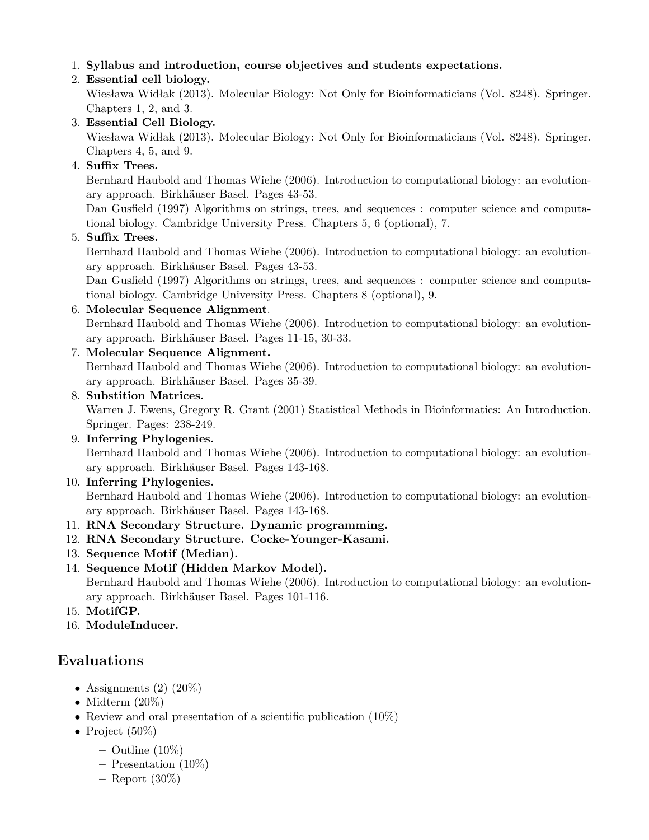1. **Syllabus and introduction, course objectives and students expectations.**

# 2. **Essential cell biology.**

Wiesława Widłak (2013). Molecular Biology: Not Only for Bioinformaticians (Vol. 8248). Springer. Chapters 1, 2, and 3.

# 3. **Essential Cell Biology.**

Wiesława Widłak (2013). Molecular Biology: Not Only for Bioinformaticians (Vol. 8248). Springer. Chapters 4, 5, and 9.

# 4. **Suffix Trees.**

Bernhard Haubold and Thomas Wiehe (2006). Introduction to computational biology: an evolutionary approach. Birkhäuser Basel. Pages 43-53.

Dan Gusfield (1997) Algorithms on strings, trees, and sequences : computer science and computational biology. Cambridge University Press. Chapters 5, 6 (optional), 7.

# 5. **Suffix Trees.**

Bernhard Haubold and Thomas Wiehe (2006). Introduction to computational biology: an evolutionary approach. Birkhäuser Basel. Pages 43-53.

Dan Gusfield (1997) Algorithms on strings, trees, and sequences : computer science and computational biology. Cambridge University Press. Chapters 8 (optional), 9.

# 6. **Molecular Sequence Alignment**.

Bernhard Haubold and Thomas Wiehe (2006). Introduction to computational biology: an evolutionary approach. Birkhäuser Basel. Pages 11-15, 30-33.

## 7. **Molecular Sequence Alignment.**

Bernhard Haubold and Thomas Wiehe (2006). Introduction to computational biology: an evolutionary approach. Birkhäuser Basel. Pages 35-39.

### 8. **Substition Matrices.**

Warren J. Ewens, Gregory R. Grant (2001) Statistical Methods in Bioinformatics: An Introduction. Springer. Pages: 238-249.

#### 9. **Inferring Phylogenies.** Bernhard Haubold and Thomas Wiehe (2006). Introduction to computational biology: an evolutionary approach. Birkhäuser Basel. Pages 143-168.

### 10. **Inferring Phylogenies.**

Bernhard Haubold and Thomas Wiehe (2006). Introduction to computational biology: an evolutionary approach. Birkhäuser Basel. Pages 143-168.

# 11. **RNA Secondary Structure. Dynamic programming.**

- 12. **RNA Secondary Structure. Cocke-Younger-Kasami.**
- 13. **Sequence Motif (Median).**
- 14. **Sequence Motif (Hidden Markov Model).** Bernhard Haubold and Thomas Wiehe (2006). Introduction to computational biology: an evolutionary approach. Birkhäuser Basel. Pages 101-116.
- 15. **MotifGP.**
- 16. **ModuleInducer.**

# **Evaluations**

- Assignments  $(2)$   $(20\%)$
- Midterm  $(20\%)$
- Review and oral presentation of a scientific publication  $(10\%)$
- Project  $(50\%)$ 
	- **–** Outline (10%)
	- **–** Presentation (10%)
	- **–** Report (30%)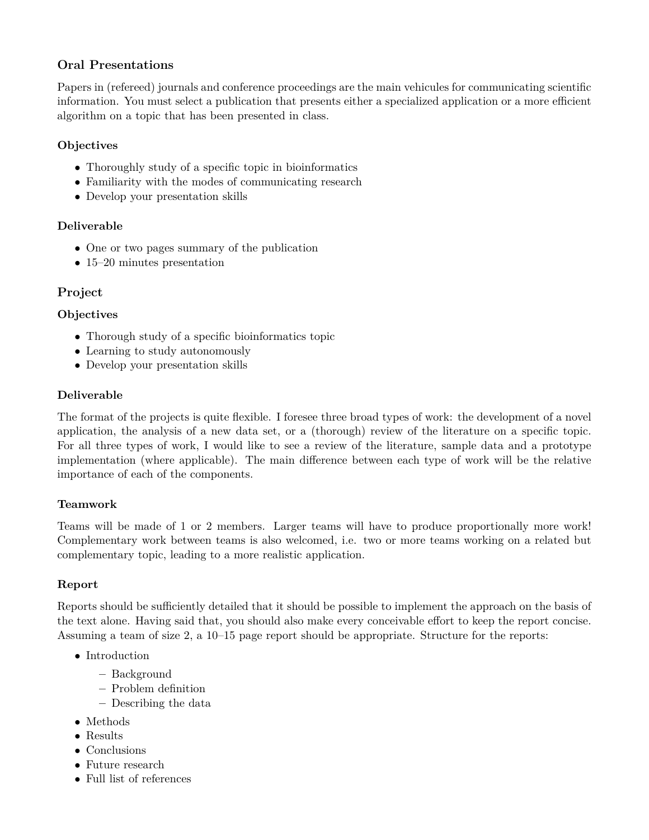# **Oral Presentations**

Papers in (refereed) journals and conference proceedings are the main vehicules for communicating scientific information. You must select a publication that presents either a specialized application or a more efficient algorithm on a topic that has been presented in class.

#### **Objectives**

- Thoroughly study of a specific topic in bioinformatics
- Familiarity with the modes of communicating research
- Develop your presentation skills

#### **Deliverable**

- One or two pages summary of the publication
- 15–20 minutes presentation

# **Project**

#### **Objectives**

- Thorough study of a specific bioinformatics topic
- Learning to study autonomously
- Develop your presentation skills

#### **Deliverable**

The format of the projects is quite flexible. I foresee three broad types of work: the development of a novel application, the analysis of a new data set, or a (thorough) review of the literature on a specific topic. For all three types of work, I would like to see a review of the literature, sample data and a prototype implementation (where applicable). The main difference between each type of work will be the relative importance of each of the components.

#### **Teamwork**

Teams will be made of 1 or 2 members. Larger teams will have to produce proportionally more work! Complementary work between teams is also welcomed, i.e. two or more teams working on a related but complementary topic, leading to a more realistic application.

#### **Report**

Reports should be sufficiently detailed that it should be possible to implement the approach on the basis of the text alone. Having said that, you should also make every conceivable effort to keep the report concise. Assuming a team of size 2, a 10–15 page report should be appropriate. Structure for the reports:

- Introduction
	- **–** Background
	- **–** Problem definition
	- **–** Describing the data
- Methods
- Results
- Conclusions
- Future research
- Full list of references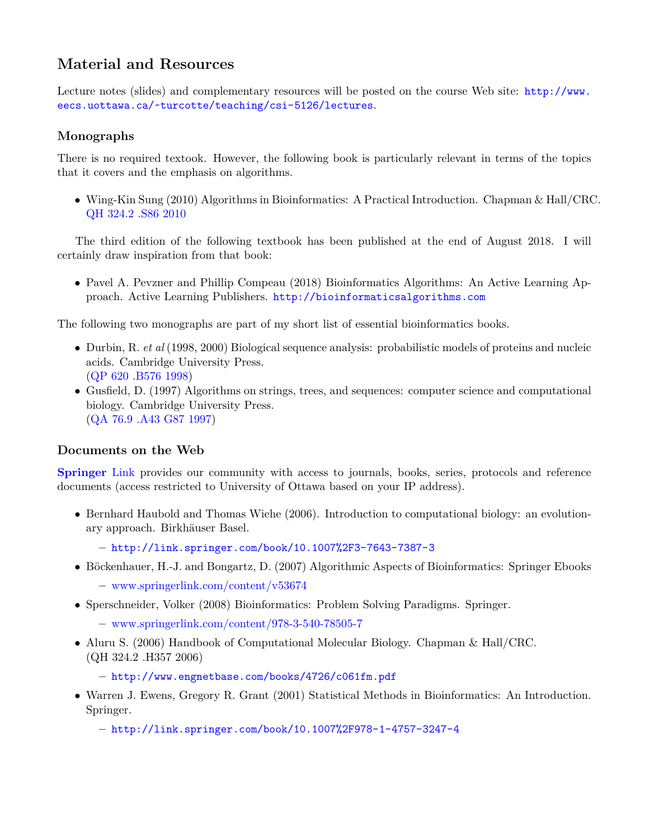# **Material and Resources**

Lecture notes (slides) and complementary resources will be posted on the course Web site: [http://www.](http://www.eecs.uottawa.ca/~turcotte/teaching/csi-5126/lectures) [eecs.uottawa.ca/~turcotte/teaching/csi-5126/lectures](http://www.eecs.uottawa.ca/~turcotte/teaching/csi-5126/lectures).

## **Monographs**

There is no required textook. However, the following book is particularly relevant in terms of the topics that it covers and the emphasis on algorithms.

• Wing-Kin Sung (2010) Algorithms in Bioinformatics: A Practical Introduction. Chapman & Hall/CRC. [QH 324.2 .S86 2010](http://orbis.uottawa.ca/record=b4070326~S0)

The third edition of the following textbook has been published at the end of August 2018. I will certainly draw inspiration from that book:

• Pavel A. Pevzner and Phillip Compeau (2018) Bioinformatics Algorithms: An Active Learning Approach. Active Learning Publishers. <http://bioinformaticsalgorithms.com>

The following two monographs are part of my short list of essential bioinformatics books.

- Durbin, R. *et al* (1998, 2000) Biological sequence analysis: probabilistic models of proteins and nucleic acids. Cambridge University Press. [\(QP 620 .B576 1998\)](http://orbis.uottawa.ca/record=b2160535~S0)
- Gusfield, D. (1997) Algorithms on strings, trees, and sequences: computer science and computational biology. Cambridge University Press. [\(QA 76.9 .A43 G87 1997\)](http://orbis.uottawa.ca/record=b1893340~S0)

### **Documents on the Web**

**[Springer](http://link.springer.com/)** Link provides our community with access to journals, books, series, protocols and reference documents (access restricted to University of Ottawa based on your IP address).

- Bernhard Haubold and Thomas Wiehe (2006). Introduction to computational biology: an evolutionary approach. Birkhäuser Basel.
	- **–** <http://link.springer.com/book/10.1007%2F3-7643-7387-3>
- Böckenhauer, H.-J. and Bongartz, D. (2007) Algorithmic Aspects of Bioinformatics: Springer Ebooks **–** [www.springerlink.com/content/v53674](http://www.springerlink.com/content/v53674/)
- Sperschneider, Volker (2008) Bioinformatics: Problem Solving Paradigms. Springer.
	- **–** [www.springerlink.com/content/978-3-540-78505-7](http://www.springerlink.com/content/978-3-540-78505-7)
- Aluru S. (2006) Handbook of Computational Molecular Biology. Chapman & Hall/CRC. (QH 324.2 .H357 2006)

**–** <http://www.engnetbase.com/books/4726/c061fm.pdf>

• Warren J. Ewens, Gregory R. Grant (2001) Statistical Methods in Bioinformatics: An Introduction. Springer.

**–** <http://link.springer.com/book/10.1007%2F978-1-4757-3247-4>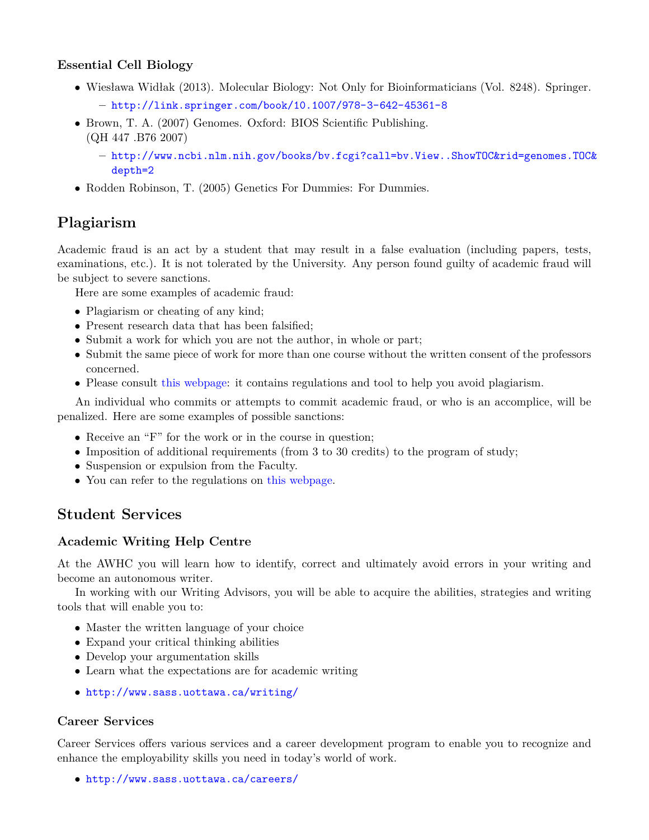## **Essential Cell Biology**

- Wiesława Widłak (2013). Molecular Biology: Not Only for Bioinformaticians (Vol. 8248). Springer. **–** <http://link.springer.com/book/10.1007/978-3-642-45361-8>
- Brown, T. A. (2007) Genomes. Oxford: BIOS Scientific Publishing. (QH 447 .B76 2007)
	- **–** [http://www.ncbi.nlm.nih.gov/books/bv.fcgi?call=bv.View..ShowTOC&rid=genomes.TOC&](http://www.ncbi.nlm.nih.gov/books/bv.fcgi?call=bv.View..ShowTOC&rid=genomes.TOC&depth=2) [depth=2](http://www.ncbi.nlm.nih.gov/books/bv.fcgi?call=bv.View..ShowTOC&rid=genomes.TOC&depth=2)
- Rodden Robinson, T. (2005) Genetics For Dummies: For Dummies.

# **Plagiarism**

Academic fraud is an act by a student that may result in a false evaluation (including papers, tests, examinations, etc.). It is not tolerated by the University. Any person found guilty of academic fraud will be subject to severe sanctions.

Here are some examples of academic fraud:

- Plagiarism or cheating of any kind;
- Present research data that has been falsified;
- Submit a work for which you are not the author, in whole or part;
- Submit the same piece of work for more than one course without the written consent of the professors concerned.
- Please consult [this webpage:](http://web5.uottawa.ca/mcs-smc/academicintegrity/students.php) it contains regulations and tool to help you avoid plagiarism.

An individual who commits or attempts to commit academic fraud, or who is an accomplice, will be penalized. Here are some examples of possible sanctions:

- Receive an "F" for the work or in the course in question;
- Imposition of additional requirements (from 3 to 30 credits) to the program of study;
- Suspension or expulsion from the Faculty.
- You can refer to the regulations on [this webpage.](http://www.uottawa.ca/academic-regulations/academic-fraud.html)

# **Student Services**

### **Academic Writing Help Centre**

At the AWHC you will learn how to identify, correct and ultimately avoid errors in your writing and become an autonomous writer.

In working with our Writing Advisors, you will be able to acquire the abilities, strategies and writing tools that will enable you to:

- Master the written language of your choice
- Expand your critical thinking abilities
- Develop your argumentation skills
- Learn what the expectations are for academic writing
- <http://www.sass.uottawa.ca/writing/>

### **Career Services**

Career Services offers various services and a career development program to enable you to recognize and enhance the employability skills you need in today's world of work.

• <http://www.sass.uottawa.ca/careers/>